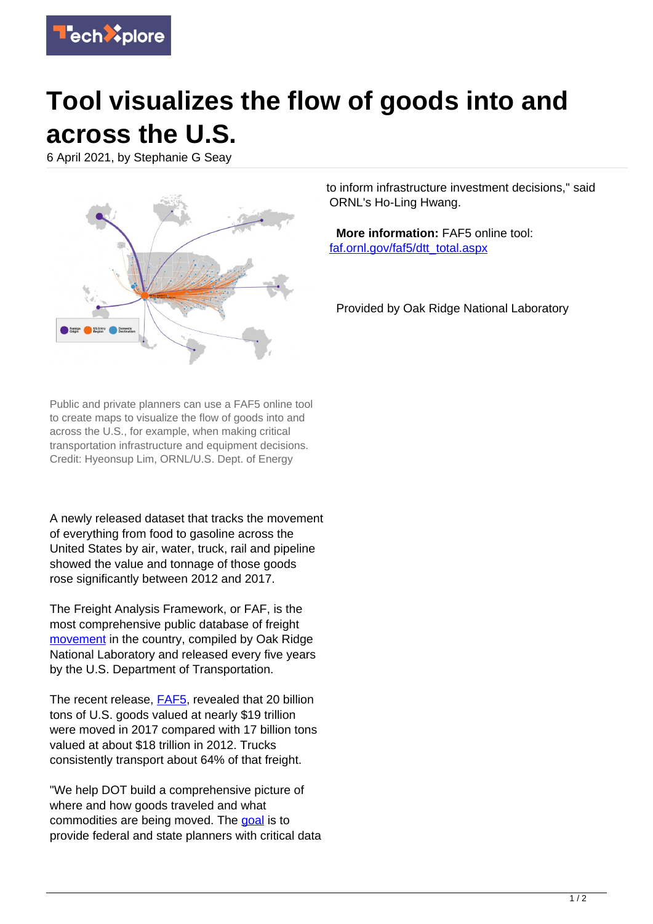

## **Tool visualizes the flow of goods into and across the U.S.**

6 April 2021, by Stephanie G Seay



Public and private planners can use a FAF5 online tool to create maps to visualize the flow of goods into and across the U.S., for example, when making critical transportation infrastructure and equipment decisions. Credit: Hyeonsup Lim, ORNL/U.S. Dept. of Energy

A newly released dataset that tracks the movement of everything from food to gasoline across the United States by air, water, truck, rail and pipeline showed the value and tonnage of those goods rose significantly between 2012 and 2017.

The Freight Analysis Framework, or FAF, is the most comprehensive public database of freight [movement](https://techxplore.com/tags/movement/) in the country, compiled by Oak Ridge National Laboratory and released every five years by the U.S. Department of Transportation.

The recent release, **FAF5**, revealed that 20 billion tons of U.S. goods valued at nearly \$19 trillion were moved in 2017 compared with 17 billion tons valued at about \$18 trillion in 2012. Trucks consistently transport about 64% of that freight.

"We help DOT build a comprehensive picture of where and how goods traveled and what commodities are being moved. The [goal](https://techxplore.com/tags/goal/) is to provide federal and state planners with critical data

to inform infrastructure investment decisions," said ORNL's Ho-Ling Hwang.

 **More information:** FAF5 online tool: [faf.ornl.gov/faf5/dtt\\_total.aspx](https://faf.ornl.gov/faf5/dtt_total.aspx)

Provided by Oak Ridge National Laboratory